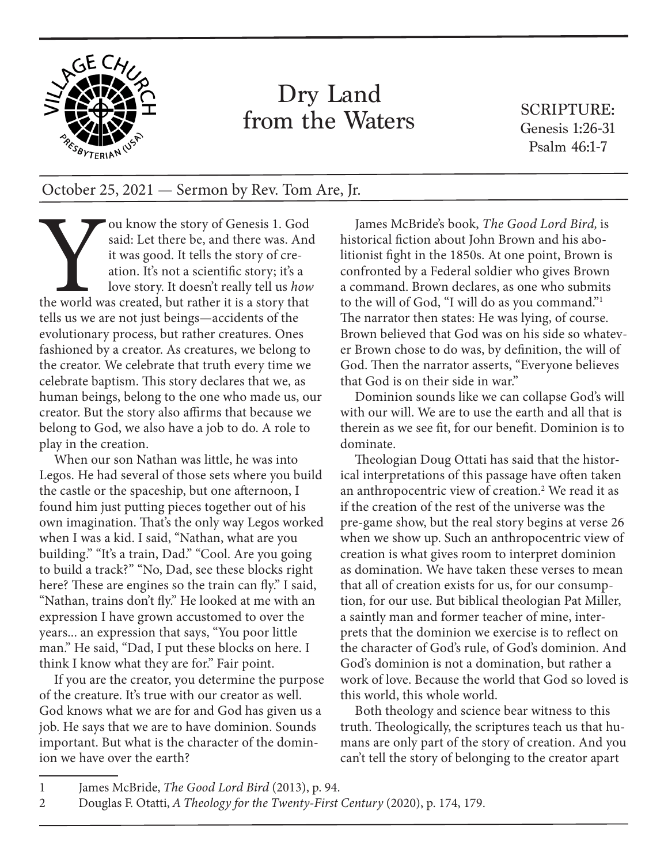

## Dry Land from the Waters

SCRIPTURE: Genesis 1:26-31 Psalm 46:1-7

## October 25, 2021 — Sermon by Rev. Tom Are, Jr.

ou know the story of Genesis 1. God<br>said: Let there be, and there was. And<br>it was good. It tells the story of cre-<br>ation. It's not a scientific story; it's a<br>love story. It doesn't really tell us how<br>the world was created, said: Let there be, and there was. And it was good. It tells the story of creation. It's not a scientific story; it's a love story. It doesn't really tell us *how* the world was created, but rather it is a story that tells us we are not just beings—accidents of the evolutionary process, but rather creatures. Ones fashioned by a creator. As creatures, we belong to the creator. We celebrate that truth every time we celebrate baptism. This story declares that we, as human beings, belong to the one who made us, our creator. But the story also affirms that because we belong to God, we also have a job to do. A role to play in the creation.

When our son Nathan was little, he was into Legos. He had several of those sets where you build the castle or the spaceship, but one afternoon, I found him just putting pieces together out of his own imagination. That's the only way Legos worked when I was a kid. I said, "Nathan, what are you building." "It's a train, Dad." "Cool. Are you going to build a track?" "No, Dad, see these blocks right here? These are engines so the train can fly." I said, "Nathan, trains don't fly." He looked at me with an expression I have grown accustomed to over the years... an expression that says, "You poor little man." He said, "Dad, I put these blocks on here. I think I know what they are for." Fair point.

If you are the creator, you determine the purpose of the creature. It's true with our creator as well. God knows what we are for and God has given us a job. He says that we are to have dominion. Sounds important. But what is the character of the dominion we have over the earth?

James McBride's book, *The Good Lord Bird,* is historical fiction about John Brown and his abolitionist fight in the 1850s. At one point, Brown is confronted by a Federal soldier who gives Brown a command. Brown declares, as one who submits to the will of God, "I will do as you command."1 The narrator then states: He was lying, of course. Brown believed that God was on his side so whatever Brown chose to do was, by definition, the will of God. Then the narrator asserts, "Everyone believes that God is on their side in war."

Dominion sounds like we can collapse God's will with our will. We are to use the earth and all that is therein as we see fit, for our benefit. Dominion is to dominate.

Theologian Doug Ottati has said that the historical interpretations of this passage have often taken an anthropocentric view of creation.<sup>2</sup> We read it as if the creation of the rest of the universe was the pre-game show, but the real story begins at verse 26 when we show up. Such an anthropocentric view of creation is what gives room to interpret dominion as domination. We have taken these verses to mean that all of creation exists for us, for our consumption, for our use. But biblical theologian Pat Miller, a saintly man and former teacher of mine, interprets that the dominion we exercise is to reflect on the character of God's rule, of God's dominion. And God's dominion is not a domination, but rather a work of love. Because the world that God so loved is this world, this whole world.

Both theology and science bear witness to this truth. Theologically, the scriptures teach us that humans are only part of the story of creation. And you can't tell the story of belonging to the creator apart

- 1 James McBride, *The Good Lord Bird* (2013), p. 94.
- 2 Douglas F. Otatti, *A Theology for the Twenty-First Century* (2020), p. 174, 179.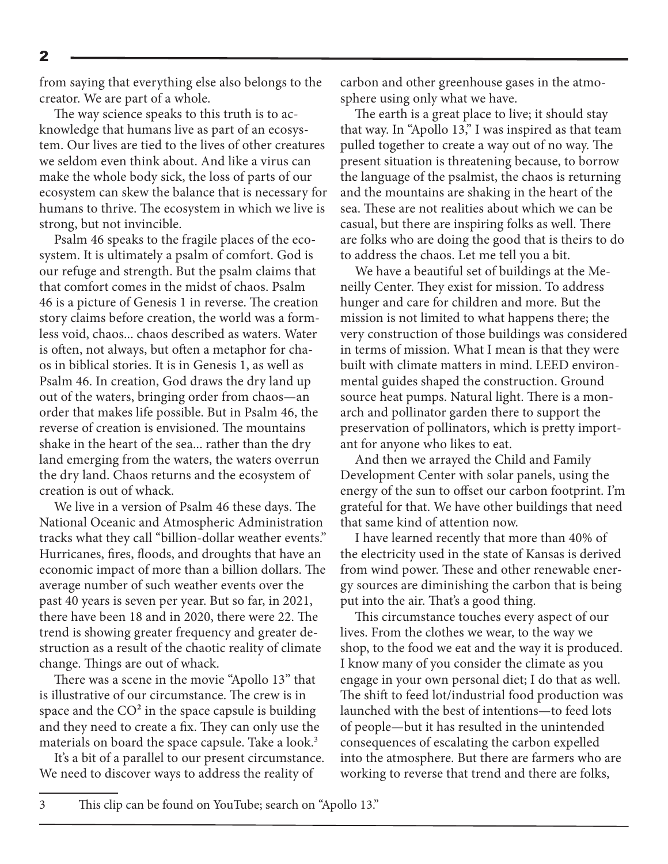from saying that everything else also belongs to the creator. We are part of a whole.

The way science speaks to this truth is to acknowledge that humans live as part of an ecosystem. Our lives are tied to the lives of other creatures we seldom even think about. And like a virus can make the whole body sick, the loss of parts of our ecosystem can skew the balance that is necessary for humans to thrive. The ecosystem in which we live is strong, but not invincible.

Psalm 46 speaks to the fragile places of the ecosystem. It is ultimately a psalm of comfort. God is our refuge and strength. But the psalm claims that that comfort comes in the midst of chaos. Psalm 46 is a picture of Genesis 1 in reverse. The creation story claims before creation, the world was a formless void, chaos... chaos described as waters. Water is often, not always, but often a metaphor for chaos in biblical stories. It is in Genesis 1, as well as Psalm 46. In creation, God draws the dry land up out of the waters, bringing order from chaos—an order that makes life possible. But in Psalm 46, the reverse of creation is envisioned. The mountains shake in the heart of the sea... rather than the dry land emerging from the waters, the waters overrun the dry land. Chaos returns and the ecosystem of creation is out of whack.

We live in a version of Psalm 46 these days. The National Oceanic and Atmospheric Administration tracks what they call "billion-dollar weather events." Hurricanes, fires, floods, and droughts that have an economic impact of more than a billion dollars. The average number of such weather events over the past 40 years is seven per year. But so far, in 2021, there have been 18 and in 2020, there were 22. The trend is showing greater frequency and greater destruction as a result of the chaotic reality of climate change. Things are out of whack.

There was a scene in the movie "Apollo 13" that is illustrative of our circumstance. The crew is in space and the  $CO<sup>2</sup>$  in the space capsule is building and they need to create a fix. They can only use the materials on board the space capsule. Take a look.<sup>3</sup>

It's a bit of a parallel to our present circumstance. We need to discover ways to address the reality of

carbon and other greenhouse gases in the atmosphere using only what we have.

The earth is a great place to live; it should stay that way. In "Apollo 13," I was inspired as that team pulled together to create a way out of no way. The present situation is threatening because, to borrow the language of the psalmist, the chaos is returning and the mountains are shaking in the heart of the sea. These are not realities about which we can be casual, but there are inspiring folks as well. There are folks who are doing the good that is theirs to do to address the chaos. Let me tell you a bit.

We have a beautiful set of buildings at the Meneilly Center. They exist for mission. To address hunger and care for children and more. But the mission is not limited to what happens there; the very construction of those buildings was considered in terms of mission. What I mean is that they were built with climate matters in mind. LEED environmental guides shaped the construction. Ground source heat pumps. Natural light. There is a monarch and pollinator garden there to support the preservation of pollinators, which is pretty important for anyone who likes to eat.

And then we arrayed the Child and Family Development Center with solar panels, using the energy of the sun to offset our carbon footprint. I'm grateful for that. We have other buildings that need that same kind of attention now.

I have learned recently that more than 40% of the electricity used in the state of Kansas is derived from wind power. These and other renewable energy sources are diminishing the carbon that is being put into the air. That's a good thing.

This circumstance touches every aspect of our lives. From the clothes we wear, to the way we shop, to the food we eat and the way it is produced. I know many of you consider the climate as you engage in your own personal diet; I do that as well. The shift to feed lot/industrial food production was launched with the best of intentions—to feed lots of people—but it has resulted in the unintended consequences of escalating the carbon expelled into the atmosphere. But there are farmers who are working to reverse that trend and there are folks,

2

3 This clip can be found on YouTube; search on "Apollo 13."